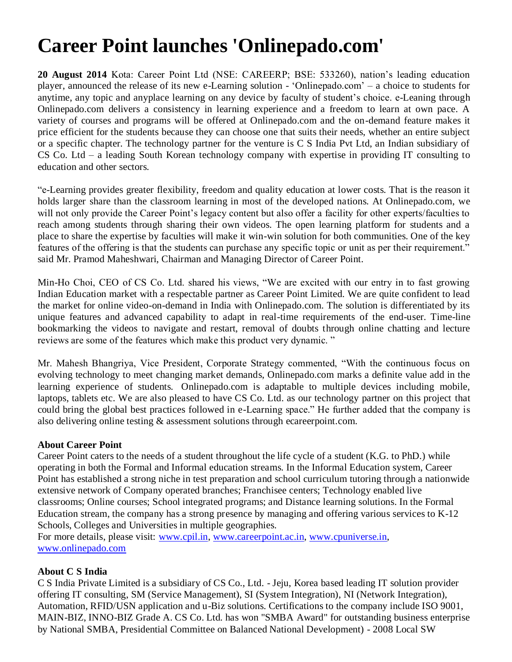## **Career Point launches 'Onlinepado.com'**

**20 August 2014** Kota: Career Point Ltd (NSE: CAREERP; BSE: 533260), nation"s leading education player, announced the release of its new e-Learning solution - "Onlinepado.com" – a choice to students for anytime, any topic and anyplace learning on any device by faculty of student"s choice. e-Leaning through Onlinepado.com delivers a consistency in learning experience and a freedom to learn at own pace. A variety of courses and programs will be offered at Onlinepado.com and the on-demand feature makes it price efficient for the students because they can choose one that suits their needs, whether an entire subject or a specific chapter. The technology partner for the venture is C S India Pvt Ltd, an Indian subsidiary of CS Co. Ltd – a leading South Korean technology company with expertise in providing IT consulting to education and other sectors.

"e-Learning provides greater flexibility, freedom and quality education at lower costs. That is the reason it holds larger share than the classroom learning in most of the developed nations. At Onlinepado.com, we will not only provide the Career Point's legacy content but also offer a facility for other experts/faculties to reach among students through sharing their own videos. The open learning platform for students and a place to share the expertise by faculties will make it win-win solution for both communities. One of the key features of the offering is that the students can purchase any specific topic or unit as per their requirement." said Mr. Pramod Maheshwari, Chairman and Managing Director of Career Point.

Min-Ho Choi, CEO of CS Co. Ltd. shared his views, "We are excited with our entry in to fast growing Indian Education market with a respectable partner as Career Point Limited. We are quite confident to lead the market for online video-on-demand in India with Onlinepado.com. The solution is differentiated by its unique features and advanced capability to adapt in real-time requirements of the end-user. Time-line bookmarking the videos to navigate and restart, removal of doubts through online chatting and lecture reviews are some of the features which make this product very dynamic. "

Mr. Mahesh Bhangriya, Vice President, Corporate Strategy commented, "With the continuous focus on evolving technology to meet changing market demands, Onlinepado.com marks a definite value add in the learning experience of students. Onlinepado.com is adaptable to multiple devices including mobile, laptops, tablets etc. We are also pleased to have CS Co. Ltd. as our technology partner on this project that could bring the global best practices followed in e-Learning space." He further added that the company is also delivering online testing & assessment solutions through ecareerpoint.com.

## **About Career Point**

Career Point caters to the needs of a student throughout the life cycle of a student (K.G. to PhD.) while operating in both the Formal and Informal education streams. In the Informal Education system, Career Point has established a strong niche in test preparation and school curriculum tutoring through a nationwide extensive network of Company operated branches; Franchisee centers; Technology enabled live classrooms; Online courses; School integrated programs; and Distance learning solutions. In the Formal Education stream, the company has a strong presence by managing and offering various services to K-12 Schools, Colleges and Universities in multiple geographies.

For more details, please visit: [www.cpil.in,](http://www.cpil.in/) [www.careerpoint.ac.in,](http://www.careerpoint.ac.in/) [www.cpuniverse.in,](http://www.cpuniverse.in/) [www.onlinepado.com](http://www.onlinepado.com/)

## **About C S India**

C S India Private Limited is a subsidiary of CS Co., Ltd. - Jeju, Korea based leading IT solution provider offering IT consulting, SM (Service Management), SI (System Integration), NI (Network Integration), Automation, RFID/USN application and u-Biz solutions. Certifications to the company include ISO 9001, MAIN-BIZ, INNO-BIZ Grade A. CS Co. Ltd. has won "SMBA Award" for outstanding business enterprise by National SMBA, Presidential Committee on Balanced National Development) - 2008 Local SW